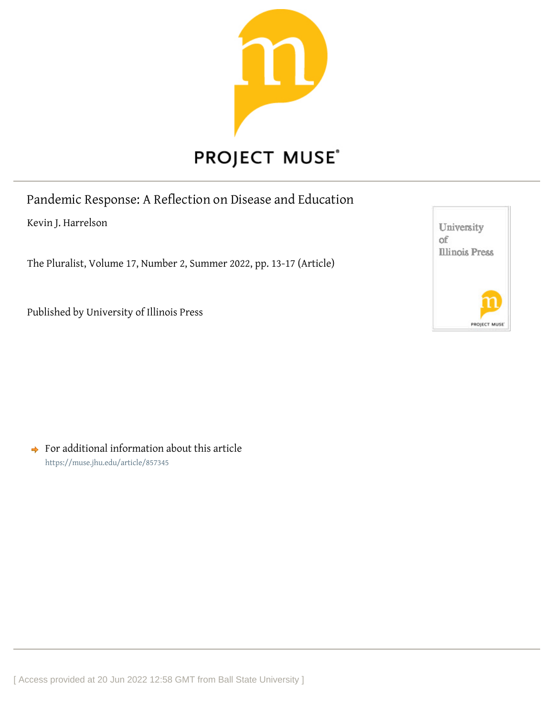

Pandemic Response: A Reflection on Disease and Education

Kevin J. Harrelson

The Pluralist, Volume 17, Number 2, Summer 2022, pp. 13-17 (Article)

Published by University of Illinois Press



 $\rightarrow$  For additional information about this article <https://muse.jhu.edu/article/857345>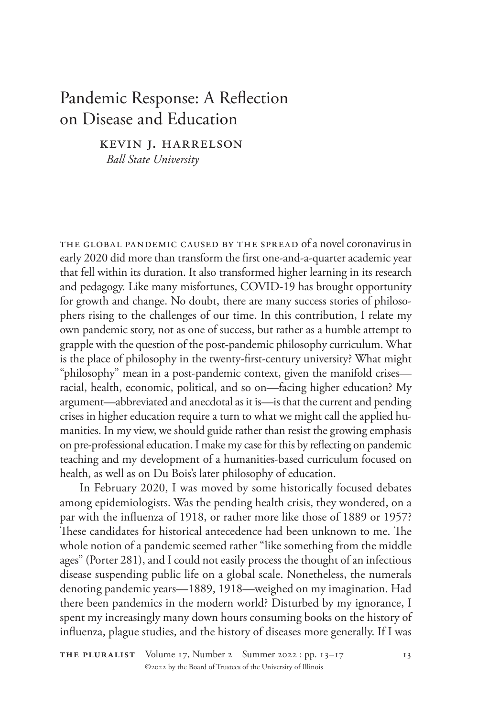## Pandemic Response: A Reflection on Disease and Education

Kevin J. Harrelson

*Ball State University*

The global pandemic caused by the spread of a novel coronavirus in early 2020 did more than transform the first one-and-a-quarter academic year that fell within its duration. It also transformed higher learning in its research and pedagogy. Like many misfortunes, COVID-19 has brought opportunity for growth and change. No doubt, there are many success stories of philosophers rising to the challenges of our time. In this contribution, I relate my own pandemic story, not as one of success, but rather as a humble attempt to grapple with the question of the post-pandemic philosophy curriculum. What is the place of philosophy in the twenty-first-century university? What might "philosophy" mean in a post-pandemic context, given the manifold crises racial, health, economic, political, and so on—facing higher education? My argument—abbreviated and anecdotal as it is—is that the current and pending crises in higher education require a turn to what we might call the applied humanities. In my view, we should guide rather than resist the growing emphasis on pre-professional education. I make my case for this by reflecting on pandemic teaching and my development of a humanities-based curriculum focused on health, as well as on Du Bois's later philosophy of education.

In February 2020, I was moved by some historically focused debates among epidemiologists. Was the pending health crisis, they wondered, on a par with the influenza of 1918, or rather more like those of 1889 or 1957? These candidates for historical antecedence had been unknown to me. The whole notion of a pandemic seemed rather "like something from the middle ages" (Porter 281), and I could not easily process the thought of an infectious disease suspending public life on a global scale. Nonetheless, the numerals denoting pandemic years—1889, 1918—weighed on my imagination. Had there been pandemics in the modern world? Disturbed by my ignorance, I spent my increasingly many down hours consuming books on the history of influenza, plague studies, and the history of diseases more generally. If I was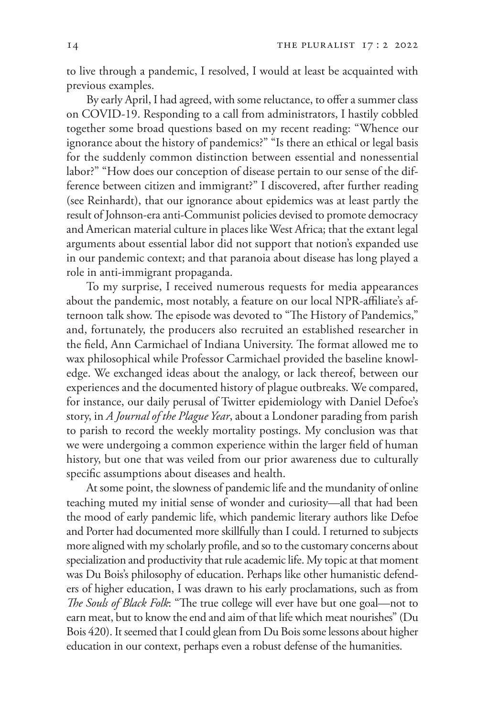to live through a pandemic, I resolved, I would at least be acquainted with previous examples.

By early April, I had agreed, with some reluctance, to offer a summer class on COVID-19. Responding to a call from administrators, I hastily cobbled together some broad questions based on my recent reading: "Whence our ignorance about the history of pandemics?" "Is there an ethical or legal basis for the suddenly common distinction between essential and nonessential labor?" "How does our conception of disease pertain to our sense of the difference between citizen and immigrant?" I discovered, after further reading (see Reinhardt), that our ignorance about epidemics was at least partly the result of Johnson-era anti-Communist policies devised to promote democracy and American material culture in places like West Africa; that the extant legal arguments about essential labor did not support that notion's expanded use in our pandemic context; and that paranoia about disease has long played a role in anti-immigrant propaganda.

To my surprise, I received numerous requests for media appearances about the pandemic, most notably, a feature on our local NPR-affiliate's afternoon talk show. The episode was devoted to "The History of Pandemics," and, fortunately, the producers also recruited an established researcher in the field, Ann Carmichael of Indiana University. The format allowed me to wax philosophical while Professor Carmichael provided the baseline knowledge. We exchanged ideas about the analogy, or lack thereof, between our experiences and the documented history of plague outbreaks. We compared, for instance, our daily perusal of Twitter epidemiology with Daniel Defoe's story, in *A Journal of the Plague Year*, about a Londoner parading from parish to parish to record the weekly mortality postings. My conclusion was that we were undergoing a common experience within the larger field of human history, but one that was veiled from our prior awareness due to culturally specific assumptions about diseases and health.

At some point, the slowness of pandemic life and the mundanity of online teaching muted my initial sense of wonder and curiosity—all that had been the mood of early pandemic life, which pandemic literary authors like Defoe and Porter had documented more skillfully than I could. I returned to subjects more aligned with my scholarly profile, and so to the customary concerns about specialization and productivity that rule academic life. My topic at that moment was Du Bois's philosophy of education. Perhaps like other humanistic defenders of higher education, I was drawn to his early proclamations, such as from *The Souls of Black Folk*: "The true college will ever have but one goal—not to earn meat, but to know the end and aim of that life which meat nourishes" (Du Bois 420). It seemed that I could glean from Du Bois some lessons about higher education in our context, perhaps even a robust defense of the humanities.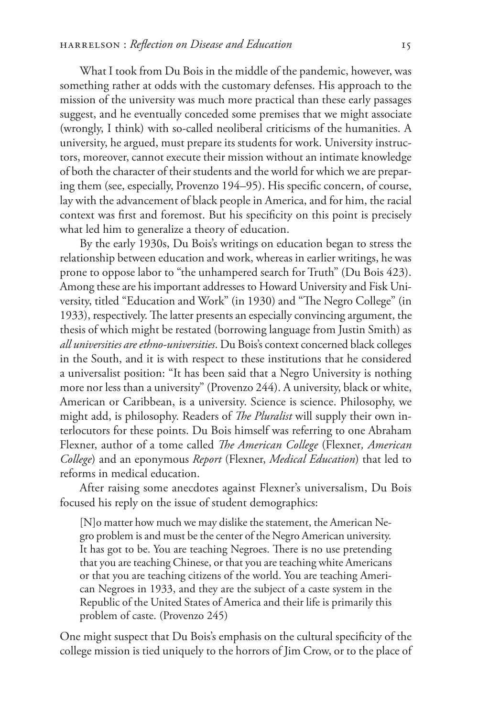What I took from Du Bois in the middle of the pandemic, however, was something rather at odds with the customary defenses. His approach to the mission of the university was much more practical than these early passages suggest, and he eventually conceded some premises that we might associate (wrongly, I think) with so-called neoliberal criticisms of the humanities. A university, he argued, must prepare its students for work. University instructors, moreover, cannot execute their mission without an intimate knowledge of both the character of their students and the world for which we are preparing them (see, especially, Provenzo 194–95). His specific concern, of course, lay with the advancement of black people in America, and for him, the racial context was first and foremost. But his specificity on this point is precisely what led him to generalize a theory of education.

By the early 1930s, Du Bois's writings on education began to stress the relationship between education and work, whereas in earlier writings, he was prone to oppose labor to "the unhampered search for Truth" (Du Bois 423). Among these are his important addresses to Howard University and Fisk University, titled "Education and Work" (in 1930) and "The Negro College" (in 1933), respectively. The latter presents an especially convincing argument, the thesis of which might be restated (borrowing language from Justin Smith) as *all universities are ethno-universities*. Du Bois's context concerned black colleges in the South, and it is with respect to these institutions that he considered a universalist position: "It has been said that a Negro University is nothing more nor less than a university" (Provenzo 244). A university, black or white, American or Caribbean, is a university. Science is science. Philosophy, we might add, is philosophy. Readers of *The Pluralist* will supply their own interlocutors for these points. Du Bois himself was referring to one Abraham Flexner, author of a tome called *The American College* (Flexner*, American College*) and an eponymous *Report* (Flexner, *Medical Education*) that led to reforms in medical education.

After raising some anecdotes against Flexner's universalism, Du Bois focused his reply on the issue of student demographics:

[N]o matter how much we may dislike the statement, the American Negro problem is and must be the center of the Negro American university. It has got to be. You are teaching Negroes. There is no use pretending that you are teaching Chinese, or that you are teaching white Americans or that you are teaching citizens of the world. You are teaching American Negroes in 1933, and they are the subject of a caste system in the Republic of the United States of America and their life is primarily this problem of caste. (Provenzo 245)

One might suspect that Du Bois's emphasis on the cultural specificity of the college mission is tied uniquely to the horrors of Jim Crow, or to the place of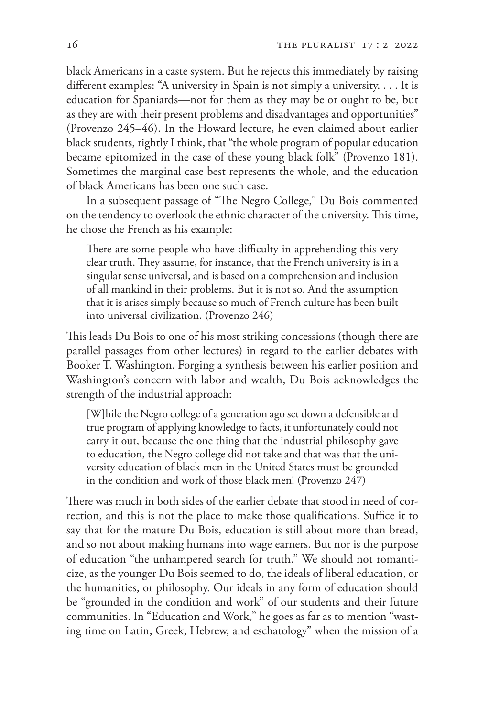black Americans in a caste system. But he rejects this immediately by raising different examples: "A university in Spain is not simply a university. . . . It is education for Spaniards—not for them as they may be or ought to be, but as they are with their present problems and disadvantages and opportunities" (Provenzo 245–46). In the Howard lecture, he even claimed about earlier black students, rightly I think, that "the whole program of popular education became epitomized in the case of these young black folk" (Provenzo 181). Sometimes the marginal case best represents the whole, and the education of black Americans has been one such case.

In a subsequent passage of "The Negro College," Du Bois commented on the tendency to overlook the ethnic character of the university. This time, he chose the French as his example:

There are some people who have difficulty in apprehending this very clear truth. They assume, for instance, that the French university is in a singular sense universal, and is based on a comprehension and inclusion of all mankind in their problems. But it is not so. And the assumption that it is arises simply because so much of French culture has been built into universal civilization. (Provenzo 246)

This leads Du Bois to one of his most striking concessions (though there are parallel passages from other lectures) in regard to the earlier debates with Booker T. Washington. Forging a synthesis between his earlier position and Washington's concern with labor and wealth, Du Bois acknowledges the strength of the industrial approach:

[W]hile the Negro college of a generation ago set down a defensible and true program of applying knowledge to facts, it unfortunately could not carry it out, because the one thing that the industrial philosophy gave to education, the Negro college did not take and that was that the university education of black men in the United States must be grounded in the condition and work of those black men! (Provenzo 247)

There was much in both sides of the earlier debate that stood in need of correction, and this is not the place to make those qualifications. Suffice it to say that for the mature Du Bois, education is still about more than bread, and so not about making humans into wage earners. But nor is the purpose of education "the unhampered search for truth." We should not romanticize, as the younger Du Bois seemed to do, the ideals of liberal education, or the humanities, or philosophy. Our ideals in any form of education should be "grounded in the condition and work" of our students and their future communities. In "Education and Work," he goes as far as to mention "wasting time on Latin, Greek, Hebrew, and eschatology" when the mission of a